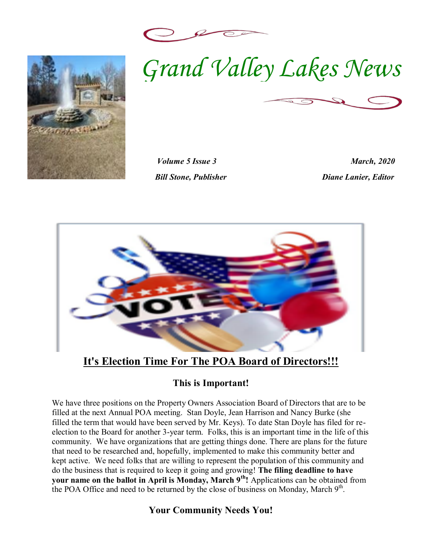





*Volume 5 Issue 3 March, 2020 Bill Stone, Publisher Diane Lanier, Editor* 



# **It's Election Time For The POA Board of Directors!!!**

#### **This is Important!**

 that need to be researched and, hopefully, implemented to make this community better and We have three positions on the Property Owners Association Board of Directors that are to be filled at the next Annual POA meeting. Stan Doyle, Jean Harrison and Nancy Burke (she filled the term that would have been served by Mr. Keys). To date Stan Doyle has filed for reelection to the Board for another 3-year term. Folks, this is an important time in the life of this community. We have organizations that are getting things done. There are plans for the future kept active. We need folks that are willing to represent the population of this community and do the business that is required to keep it going and growing! **The filing deadline to have your name on the ballot in April is Monday, March 9th!** Applications can be obtained from the POA Office and need to be returned by the close of business on Monday, March 9<sup>th</sup>.

#### **Your Community Needs You!**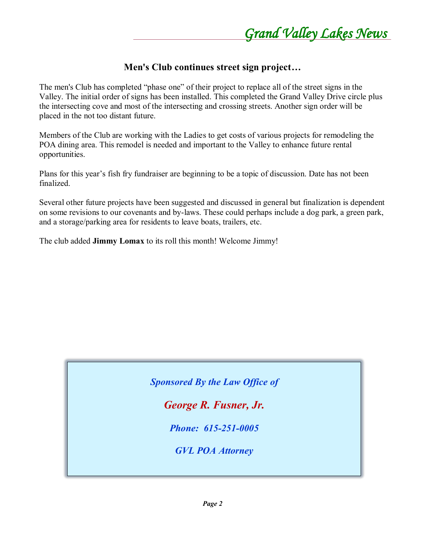#### **Men's Club continues street sign project...**

The men's Club has completed "phase one" of their project to replace all of the street signs in the Valley. The initial order of signs has been installed. This completed the Grand Valley Drive circle plus the intersecting cove and most of the intersecting and crossing streets. Another sign order will be placed in the not too distant future.

Members of the Club are working with the Ladies to get costs of various projects for remodeling the POA dining area. This remodel is needed and important to the Valley to enhance future rental opportunities.

Plans for this year's fish fry fundraiser are beginning to be a topic of discussion. Date has not been finalized.

Several other future projects have been suggested and discussed in general but finalization is dependent on some revisions to our covenants and by-laws. These could perhaps include a dog park, a green park, and a storage/parking area for residents to leave boats, trailers, etc.

The club added **Jimmy Lomax** to its roll this month! Welcome Jimmy!

*Sponsored By the Law Office of* 

*George R. Fusner, Jr.*

*Phone: 615-251-0005*

*GVL POA Attorney*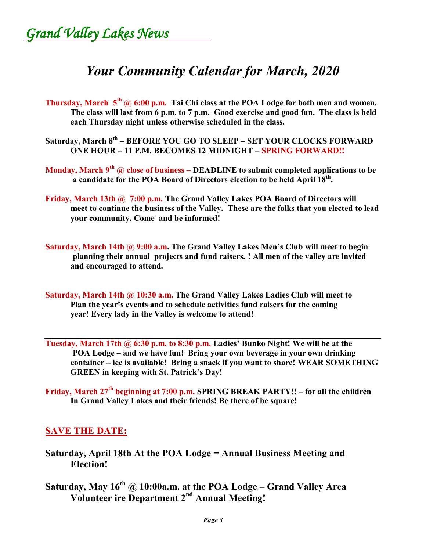Grand Valley Lakes News

# *Your Community Calendar for March, 2020*

- **Thursday, March 5th @ 6:00 p.m. Tai Chi class at the POA Lodge for both men and women. The class will last from 6 p.m. to 7 p.m. Good exercise and good fun. The class is held each Thursday night unless otherwise scheduled in the class.**
- **Saturday, March 8th ± BEFORE YOU GO TO SLEEP ± SET YOUR CLOCKS FORWARD ONE HOUR ± 11 P.M. BECOMES 12 MIDNIGHT ± SPRING FORWARD!!**
- **Monday, March 9th @ close of business ± DEADLINE to submit completed applications to be a candidate for the POA Board of Directors election to be held April 18th.**
- **Friday, March 13th @ 7:00 p.m. The Grand Valley Lakes POA Board of Directors will meet to continue the business of the Valley. These are the folks that you elected to lead your community. Come and be informed!**
- **Saturday, March 14th @ 9:00 a.m.** The Grand Valley Lakes Men's Club will meet to begin **planning their annual projects and fund raisers. ! All men of the valley are invited and encouraged to attend.**
- **Saturday, March 14th @ 10:30 a.m. The Grand Valley Lakes Ladies Club will meet to** Plan the year's events and to schedule activities fund raisers for the coming **year! Every lady in the Valley is welcome to attend!**
- **Tuesday, March 17th @ 6:30 p.m. to 8:30 p.m. Ladies' Bunko Night! We will be at the** POA Lodge – and we have fun! Bring your own beverage in your own drinking **container ± ice is available! Bring a snack if you want to share! WEAR SOMETHING GREEN** in keeping with St. Patrick's Day!
- **Friday, March 27th beginning at 7:00 p.m. SPRING BREAK PARTY!! ± for all the children In Grand Valley Lakes and their friends! Be there of be square!**

#### **SAVE THE DATE:**

- **Saturday, April 18th At the POA Lodge = Annual Business Meeting and Election!**
- Saturday, May  $16^{th}$  @ 10:00a.m. at the POA Lodge Grand Valley Area **Volunteer ire Department 2nd Annual Meeting!**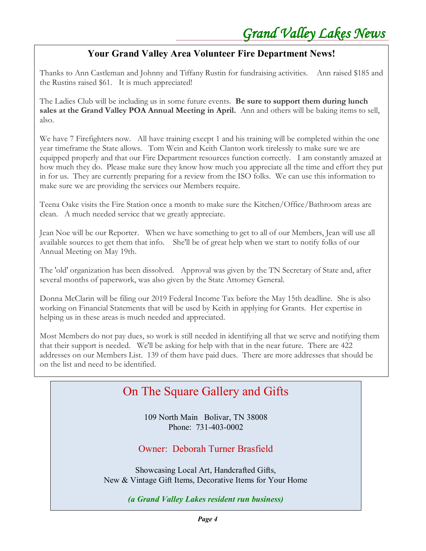### **Your Grand Valley Area Volunteer Fire Department News!**

Thanks to Ann Castleman and Johnny and Tiffany Rustin for fundraising activities. Ann raised \$185 and the Rustins raised \$61. It is much appreciated!

The Ladies Club will be including us in some future events. **Be sure to support them during lunch sales at the Grand Valley POA Annual Meeting in April.** Ann and others will be baking items to sell, also.

We have 7 Firefighters now. All have training except 1 and his training will be completed within the one year timeframe the State allows. Tom Wein and Keith Clanton work tirelessly to make sure we are equipped properly and that our Fire Department resources function correctly. I am constantly amazed at how much they do. Please make sure they know how much you appreciate all the time and effort they put in for us. They are currently preparing for a review from the ISO folks. We can use this information to make sure we are providing the services our Members require.

Teena Oake visits the Fire Station once a month to make sure the Kitchen/Office/Bathroom areas are clean. A much needed service that we greatly appreciate.

Jean Noe will be our Reporter. When we have something to get to all of our Members, Jean will use all available sources to get them that info. She'll be of great help when we start to notify folks of our Annual Meeting on May 19th.

The 'old' organization has been dissolved. Approval was given by the TN Secretary of State and, after several months of paperwork, was also given by the State Attorney General.

Donna McClarin will be filing our 2019 Federal Income Tax before the May 15th deadline. She is also working on Financial Statements that will be used by Keith in applying for Grants. Her expertise in helping us in these areas is much needed and appreciated.

Most Members do not pay dues, so work is still needed in identifying all that we serve and notifying them that their support is needed. We'll be asking for help with that in the near future. There are 422 addresses on our Members List. 139 of them have paid dues. There are more addresses that should be on the list and need to be identified.

#### On The Square Gallery and Gifts Our Annual Meeting is set for Saturday, May 16th at 10:00 am in the Grand Valley Lodge. Hope to see

you there !

109 North Main Bolivar, TN 38008 Phone: 731-403-0002

Owner: Deborah Turner Brasfield

Showcasing Local Art, Handcrafted Gifts, New & Vintage Gift Items, Decorative Items for Your Home

*(a Grand Valley Lakes resident run business)*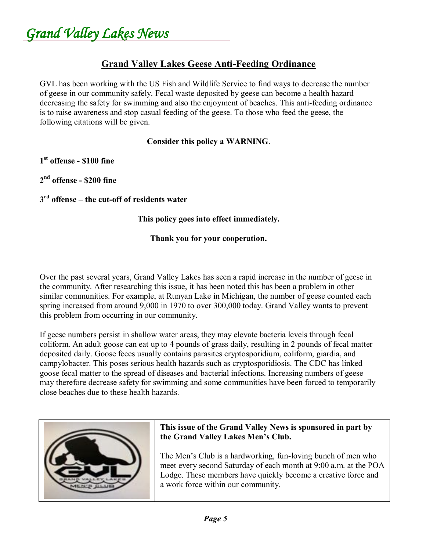Grand Valley Lakes News

#### **Grand Valley Lakes Geese Anti-Feeding Ordinance**

GVL has been working with the US Fish and Wildlife Service to find ways to decrease the number of geese in our community safely. Fecal waste deposited by geese can become a health hazard decreasing the safety for swimming and also the enjoyment of beaches. This anti-feeding ordinance is to raise awareness and stop casual feeding of the geese. To those who feed the geese, the following citations will be given.

#### **Consider this policy a WARNING**.

**1st offense - \$100 fine**

**2nd offense - \$200 fine**

**3rd offense ± the cut-off of residents water**

**This policy goes into effect immediately.**

#### **Thank you for your cooperation.**

Over the past several years, Grand Valley Lakes has seen a rapid increase in the number of geese in the community. After researching this issue, it has been noted this has been a problem in other similar communities. For example, at Runyan Lake in Michigan, the number of geese counted each spring increased from around 9,000 in 1970 to over 300,000 today. Grand Valley wants to prevent this problem from occurring in our community.

If geese numbers persist in shallow water areas, they may elevate bacteria levels through fecal coliform. An adult goose can eat up to 4 pounds of grass daily, resulting in 2 pounds of fecal matter deposited daily. Goose feces usually contains parasites cryptosporidium, coliform, giardia, and campylobacter. This poses serious health hazards such as cryptosporidiosis. The CDC has linked goose fecal matter to the spread of diseases and bacterial infections. Increasing numbers of geese may therefore decrease safety for swimming and some communities have been forced to temporarily close beaches due to these health hazards.



#### **This issue of the Grand Valley News is sponsored in part by**  This issue of the Grand Vaney News is sponsored in part

The Men's Club is a hardworking, fun-loving bunch of men who meet every second Saturday of each month at 9:00 a.m. at the POA Lodge. These members have quickly become a creative force and a work force within our community.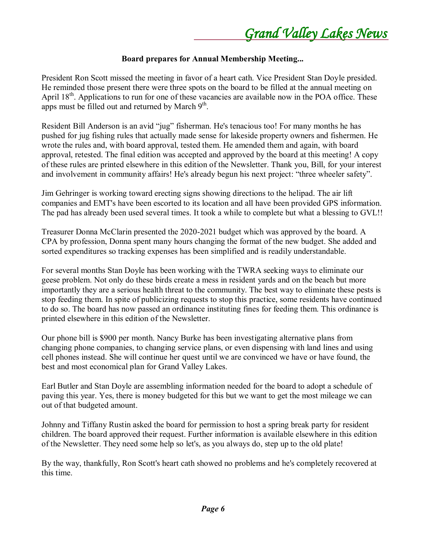#### **Board prepares for Annual Membership Meeting...**

President Ron Scott missed the meeting in favor of a heart cath. Vice President Stan Doyle presided. He reminded those present there were three spots on the board to be filled at the annual meeting on April 18<sup>th</sup>. Applications to run for one of these vacancies are available now in the POA office. These apps must be filled out and returned by March  $9<sup>th</sup>$ .

Resident Bill Anderson is an avid "jug" fisherman. He's tenacious too! For many months he has pushed for jug fishing rules that actually made sense for lakeside property owners and fishermen. He wrote the rules and, with board approval, tested them. He amended them and again, with board approval, retested. The final edition was accepted and approved by the board at this meeting! A copy of these rules are printed elsewhere in this edition of the Newsletter. Thank you, Bill, for your interest and involvement in community affairs! He's already begun his next project: "three wheeler safety".

Jim Gehringer is working toward erecting signs showing directions to the helipad. The air lift companies and EMT's have been escorted to its location and all have been provided GPS information. The pad has already been used several times. It took a while to complete but what a blessing to GVL!!

Treasurer Donna McClarin presented the 2020-2021 budget which was approved by the board. A CPA by profession, Donna spent many hours changing the format of the new budget. She added and sorted expenditures so tracking expenses has been simplified and is readily understandable.

For several months Stan Doyle has been working with the TWRA seeking ways to eliminate our geese problem. Not only do these birds create a mess in resident yards and on the beach but more importantly they are a serious health threat to the community. The best way to eliminate these pests is stop feeding them. In spite of publicizing requests to stop this practice, some residents have continued to do so. The board has now passed an ordinance instituting fines for feeding them. This ordinance is printed elsewhere in this edition of the Newsletter.

Our phone bill is \$900 per month. Nancy Burke has been investigating alternative plans from changing phone companies, to changing service plans, or even dispensing with land lines and using cell phones instead. She will continue her quest until we are convinced we have or have found, the best and most economical plan for Grand Valley Lakes.

Earl Butler and Stan Doyle are assembling information needed for the board to adopt a schedule of paving this year. Yes, there is money budgeted for this but we want to get the most mileage we can out of that budgeted amount.

Johnny and Tiffany Rustin asked the board for permission to host a spring break party for resident children. The board approved their request. Further information is available elsewhere in this edition of the Newsletter. They need some help so let's, as you always do, step up to the old plate!

By the way, thankfully, Ron Scott's heart cath showed no problems and he's completely recovered at this time.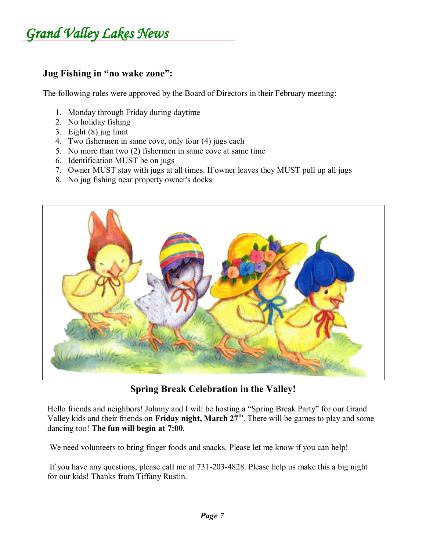### **Jug Fishing in "no wake zone":**

The following rules were approved by the Board of Directors in their February meeting:

- 1. Monday through Friday during daytime
- 2. No holiday fishing
- 3. Eight (8) jug limit
- 4. Two fishermen in same cove, only four (4) jugs each
- 5. No more than two (2) fishermen in same cove at same time
- 6. Identification MUST be on jugs
- 7. Owner MUST stay with jugs at all times. If owner leaves they MUST pull up all jugs
- 8. No jug fishing near property owner's docks



**Spring Break Celebration in the Valley!**

Hello friends and neighbors! Johnny and I will be hosting a "Spring Break Party" for our Grand Valley kids and their friends on **Friday night, March 27th**. There will be games to play and some dancing too! **The fun will begin at 7:00**.

We need volunteers to bring finger foods and snacks. Please let me know if you can help!

If you have any questions, please call me at 731-203-4828. Please help us make this a big night for our kids! Thanks from Tiffany Rustin.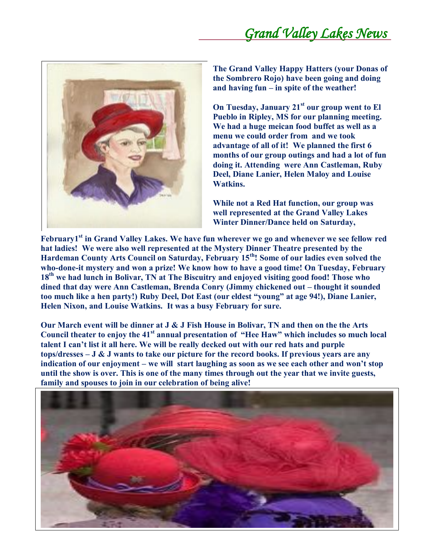

**The Grand Valley Happy Hatters (your Donas of the Sombrero Rojo) have been going and doing**  and having  $fun -in$  spite of the weather!

**On Tuesday, January 21st our group went to El Pueblo in Ripley, MS for our planning meeting. We had a huge meican food buffet as well as a menu we could order from and we took advantage of all of it! We planned the first 6 months of our group outings and had a lot of fun doing it. Attending were Ann Castleman, Ruby Deel, Diane Lanier, Helen Maloy and Louise Watkins.**

**While not a Red Hat function, our group was well represented at the Grand Valley Lakes Winter Dinner/Dance held on Saturday,**

**February1<sup>st</sup> in Grand Valley Lakes. We have fun wherever we go and whenever we see fellow red**  $\blacksquare$ **hat ladies! We were also well represented at the Mystery Dinner Theatre presented by the Hardeman County Arts Council on Saturday, February 15th! Some of our ladies even solved the who-done-it mystery and won a prize! We know how to have a good time! On Tuesday, February 18th we had lunch in Bolivar, TN at The Biscuitry and enjoyed visiting good food! Those who**  dined that day were Ann Castleman, Brenda Conry (Jimmy chickened out - thought it sounded too much like a hen party!) Ruby Deel, Dot East (our eldest "young" at age 94!), Diane Lanier, **Helen Nixon, and Louise Watkins. It was a busy February for sure.**

**Our March event will be dinner at J & J Fish House in Bolivar, TN and then on the the Arts Council theater to enjoy the 41<sup>st</sup> annual presentation of "Hee Haw" which includes so much local** talent I can't list it all here. We will be really decked out with our red hats and purple **tops/dresses ± J & J wants to take our picture for the record books. If previous years are any indication of our enjoyment – we will start laughing as soon as we see each other and won't stop until the show is over. This is one of the many times through out the year that we invite guests, family and spouses to join in our celebration of being alive!**

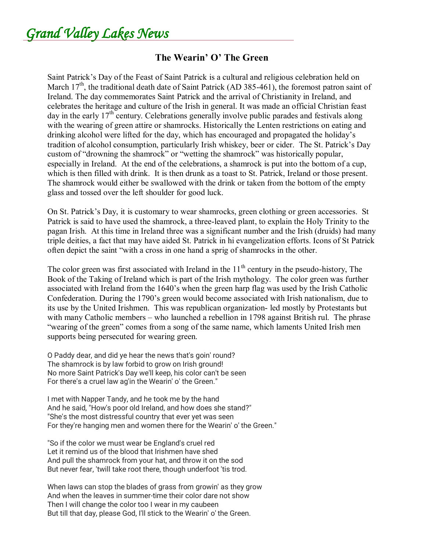Grand Valley Lakes News

#### **The Wearin' O' The Green**

Saint Patrick's Day of the Feast of Saint Patrick is a cultural and religious celebration held on March  $17<sup>th</sup>$ , the traditional death date of Saint Patrick (AD 385-461), the foremost patron saint of Ireland. The day commemorates Saint Patrick and the arrival of Christianity in Ireland, and celebrates the heritage and culture of the Irish in general. It was made an official Christian feast day in the early  $17<sup>th</sup>$  century. Celebrations generally involve public parades and festivals along with the wearing of green attire or shamrocks. Historically the Lenten restrictions on eating and drinking alcohol were lifted for the day, which has encouraged and propagated the holiday's tradition of alcohol consumption, particularly Irish whiskey, beer or cider. The St. Patrick's Day custom of "drowning the shamrock" or "wetting the shamrock" was historically popular, especially in Ireland. At the end of the celebrations, a shamrock is put into the bottom of a cup, which is then filled with drink. It is then drunk as a toast to St. Patrick, Ireland or those present. The shamrock would either be swallowed with the drink or taken from the bottom of the empty glass and tossed over the left shoulder for good luck.

On St. Patrick's Day, it is customary to wear shamrocks, green clothing or green accessories. St Patrick is said to have used the shamrock, a three-leaved plant, to explain the Holy Trinity to the pagan Irish. At this time in Ireland three was a significant number and the Irish (druids) had many triple deities, a fact that may have aided St. Patrick in hi evangelization efforts. Icons of St Patrick often depict the saint "with a cross in one hand a sprig of shamrocks in the other.

The color green was first associated with Ireland in the  $11<sup>th</sup>$  century in the pseudo-history. The Book of the Taking of Ireland which is part of the Irish mythology. The color green was further associated with Ireland from the 1640's when the green harp flag was used by the Irish Catholic Confederation. During the 1790's green would become associated with Irish nationalism, due to its use by the United Irishmen. This was republican organization- led mostly by Protestants but with many Catholic members  $-\omega$  who launched a rebellion in 1798 against British rul. The phrase "wearing of the green" comes from a song of the same name, which laments United Irish men supports being persecuted for wearing green.

O Paddy dear, and did ye hear the news that's goin' round? The shamrock is by law forbid to grow on Irish ground! No more Saint Patrick's Day we'll keep, his color can't be seen For there's a cruel law ag'in the Wearin' o' the Green."

I met with Napper Tandy, and he took me by the hand And he said, "How's poor old Ireland, and how does she stand?" "She's the most distressful country that ever yet was seen For they're hanging men and women there for the Wearin' o' the Green."

"So if the color we must wear be England's cruel red Let it remind us of the blood that Irishmen have shed And pull the shamrock from your hat, and throw it on the sod But never fear, 'twill take root there, though underfoot 'tis trod.

When laws can stop the blades of grass from growin' as they grow And when the leaves in summer-time their color dare not show Then I will change the color too I wear in my caubeen But till that day, please God, I'll stick to the Wearin' o' the Green.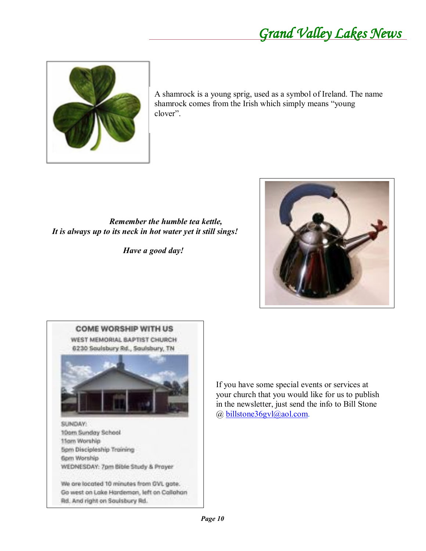

A shamrock is a young sprig, used as a symbol of Ireland. The name shamrock comes from the Irish which simply means "young clover".

*Remember the humble tea kettle, It is always up to its neck in hot water yet it still sings!*

*Have a good day!*





Go west on Lake Hardemon, left on Callahan Rd. And right on Soulsbury Rd.

If you have some special events or services at your church that you would like for us to publish in the newsletter, just send the info to Bill Stone @ [billstone36gvl@aol.com.](mailto:billstone36gvl@aol.com)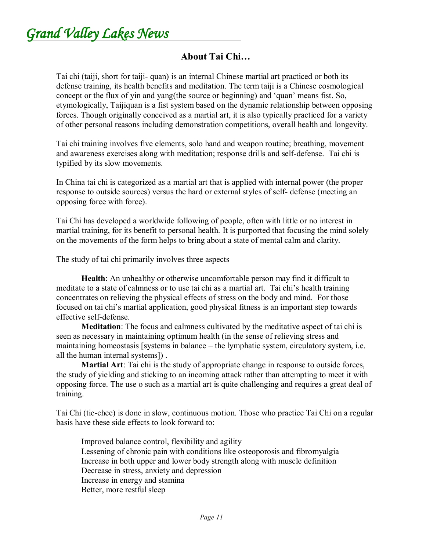Grand Valley Lakes News

#### **About Tai Chi«**

Tai chi (taiji, short for taiji- quan) is an internal Chinese martial art practiced or both its defense training, its health benefits and meditation. The term taiji is a Chinese cosmological concept or the flux of yin and yang(the source or beginning) and 'quan' means fist. So, etymologically, Taijiquan is a fist system based on the dynamic relationship between opposing forces. Though originally conceived as a martial art, it is also typically practiced for a variety of other personal reasons including demonstration competitions, overall health and longevity.

Tai chi training involves five elements, solo hand and weapon routine; breathing, movement and awareness exercises along with meditation; response drills and self-defense. Tai chi is typified by its slow movements.

In China tai chi is categorized as a martial art that is applied with internal power (the proper response to outside sources) versus the hard or external styles of self- defense (meeting an opposing force with force).

Tai Chi has developed a worldwide following of people, often with little or no interest in martial training, for its benefit to personal health. It is purported that focusing the mind solely on the movements of the form helps to bring about a state of mental calm and clarity.

The study of tai chi primarily involves three aspects

**Health**: An unhealthy or otherwise uncomfortable person may find it difficult to meditate to a state of calmness or to use tai chi as a martial art. Tai chi's health training concentrates on relieving the physical effects of stress on the body and mind. For those focused on tai chi's martial application, good physical fitness is an important step towards effective self-defense.

**Meditation**: The focus and calmness cultivated by the meditative aspect of tai chi is seen as necessary in maintaining optimum health (in the sense of relieving stress and maintaining homeostasis [systems in balance  $-$  the lymphatic system, circulatory system, i.e. all the human internal systems]) .

**Martial Art**: Tai chi is the study of appropriate change in response to outside forces, the study of yielding and sticking to an incoming attack rather than attempting to meet it with opposing force. The use o such as a martial art is quite challenging and requires a great deal of training.

Tai Chi (tie-chee) is done in slow, continuous motion. Those who practice Tai Chi on a regular basis have these side effects to look forward to:

Improved balance control, flexibility and agility Lessening of chronic pain with conditions like osteoporosis and fibromyalgia Increase in both upper and lower body strength along with muscle definition Decrease in stress, anxiety and depression Increase in energy and stamina Better, more restful sleep